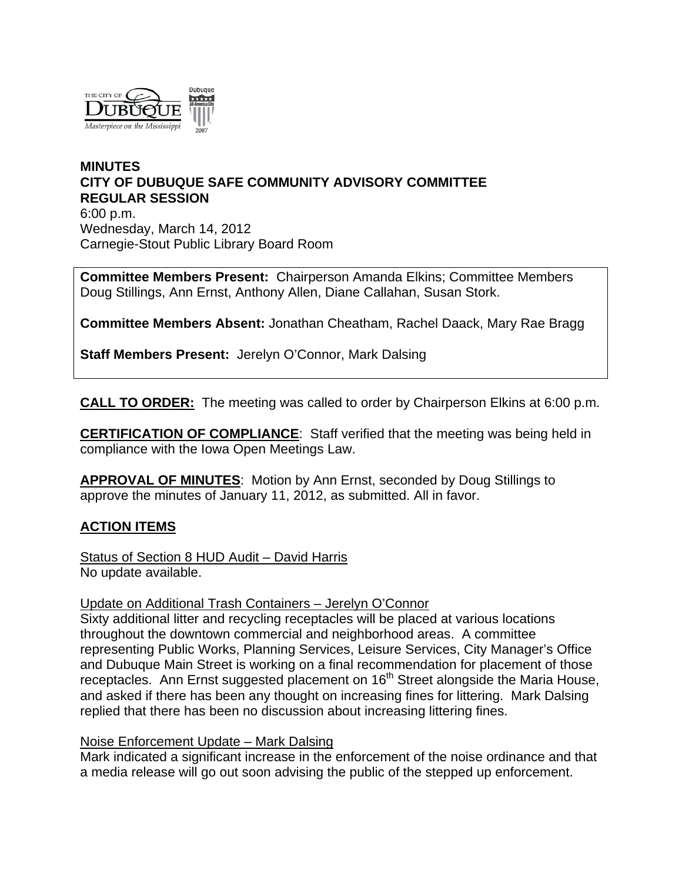

### **MINUTES CITY OF DUBUQUE SAFE COMMUNITY ADVISORY COMMITTEE REGULAR SESSION** 6:00 p.m. Wednesday, March 14, 2012 Carnegie-Stout Public Library Board Room

**Committee Members Present:** Chairperson Amanda Elkins; Committee Members Doug Stillings, Ann Ernst, Anthony Allen, Diane Callahan, Susan Stork.

**Committee Members Absent:** Jonathan Cheatham, Rachel Daack, Mary Rae Bragg

**Staff Members Present:** Jerelyn O'Connor, Mark Dalsing

**CALL TO ORDER:** The meeting was called to order by Chairperson Elkins at 6:00 p.m.

**CERTIFICATION OF COMPLIANCE**: Staff verified that the meeting was being held in compliance with the Iowa Open Meetings Law.

**APPROVAL OF MINUTES**: Motion by Ann Ernst, seconded by Doug Stillings to approve the minutes of January 11, 2012, as submitted. All in favor.

# **ACTION ITEMS**

Status of Section 8 HUD Audit – David Harris No update available.

### Update on Additional Trash Containers – Jerelyn O'Connor

Sixty additional litter and recycling receptacles will be placed at various locations throughout the downtown commercial and neighborhood areas. A committee representing Public Works, Planning Services, Leisure Services, City Manager's Office and Dubuque Main Street is working on a final recommendation for placement of those receptacles. Ann Ernst suggested placement on 16<sup>th</sup> Street alongside the Maria House, and asked if there has been any thought on increasing fines for littering. Mark Dalsing replied that there has been no discussion about increasing littering fines.

### Noise Enforcement Update – Mark Dalsing

Mark indicated a significant increase in the enforcement of the noise ordinance and that a media release will go out soon advising the public of the stepped up enforcement.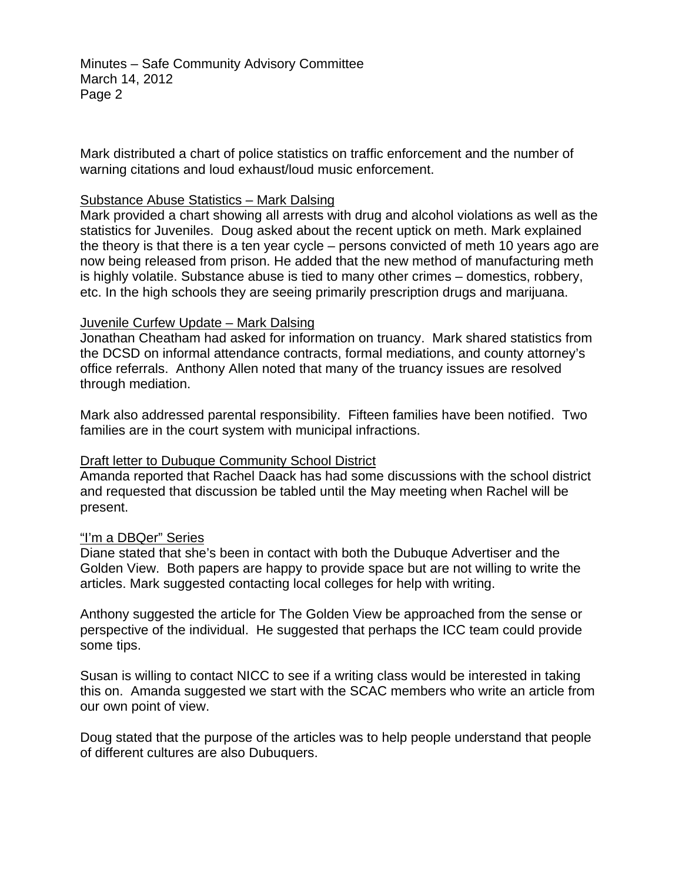Minutes – Safe Community Advisory Committee March 14, 2012 Page 2

Mark distributed a chart of police statistics on traffic enforcement and the number of warning citations and loud exhaust/loud music enforcement.

### Substance Abuse Statistics – Mark Dalsing

Mark provided a chart showing all arrests with drug and alcohol violations as well as the statistics for Juveniles. Doug asked about the recent uptick on meth. Mark explained the theory is that there is a ten year cycle – persons convicted of meth 10 years ago are now being released from prison. He added that the new method of manufacturing meth is highly volatile. Substance abuse is tied to many other crimes – domestics, robbery, etc. In the high schools they are seeing primarily prescription drugs and marijuana.

### Juvenile Curfew Update – Mark Dalsing

Jonathan Cheatham had asked for information on truancy. Mark shared statistics from the DCSD on informal attendance contracts, formal mediations, and county attorney's office referrals. Anthony Allen noted that many of the truancy issues are resolved through mediation.

Mark also addressed parental responsibility. Fifteen families have been notified. Two families are in the court system with municipal infractions.

# Draft letter to Dubuque Community School District

Amanda reported that Rachel Daack has had some discussions with the school district and requested that discussion be tabled until the May meeting when Rachel will be present.

### "I'm a DBQer" Series

Diane stated that she's been in contact with both the Dubuque Advertiser and the Golden View. Both papers are happy to provide space but are not willing to write the articles. Mark suggested contacting local colleges for help with writing.

Anthony suggested the article for The Golden View be approached from the sense or perspective of the individual. He suggested that perhaps the ICC team could provide some tips.

Susan is willing to contact NICC to see if a writing class would be interested in taking this on. Amanda suggested we start with the SCAC members who write an article from our own point of view.

Doug stated that the purpose of the articles was to help people understand that people of different cultures are also Dubuquers.